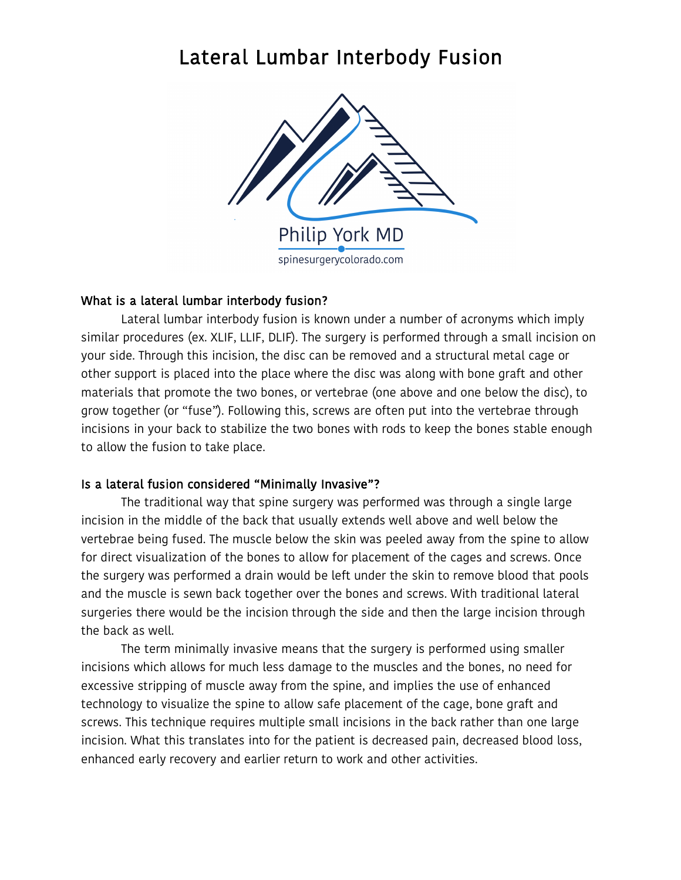## Lateral Lumbar Interbody Fusion



## What is a lateral lumbar interbody fusion?

 Lateral lumbar interbody fusion is known under a number of acronyms which imply similar procedures (ex. XLIF, LLIF, DLIF). The surgery is performed through a small incision on your side. Through this incision, the disc can be removed and a structural metal cage or other support is placed into the place where the disc was along with bone graft and other materials that promote the two bones, or vertebrae (one above and one below the disc), to grow together (or "fuse"). Following this, screws are often put into the vertebrae through incisions in your back to stabilize the two bones with rods to keep the bones stable enough to allow the fusion to take place.

## Is a lateral fusion considered "Minimally Invasive"?

 The traditional way that spine surgery was performed was through a single large incision in the middle of the back that usually extends well above and well below the vertebrae being fused. The muscle below the skin was peeled away from the spine to allow for direct visualization of the bones to allow for placement of the cages and screws. Once the surgery was performed a drain would be left under the skin to remove blood that pools and the muscle is sewn back together over the bones and screws. With traditional lateral surgeries there would be the incision through the side and then the large incision through the back as well.

 The term minimally invasive means that the surgery is performed using smaller incisions which allows for much less damage to the muscles and the bones, no need for excessive stripping of muscle away from the spine, and implies the use of enhanced technology to visualize the spine to allow safe placement of the cage, bone graft and screws. This technique requires multiple small incisions in the back rather than one large incision. What this translates into for the patient is decreased pain, decreased blood loss, enhanced early recovery and earlier return to work and other activities.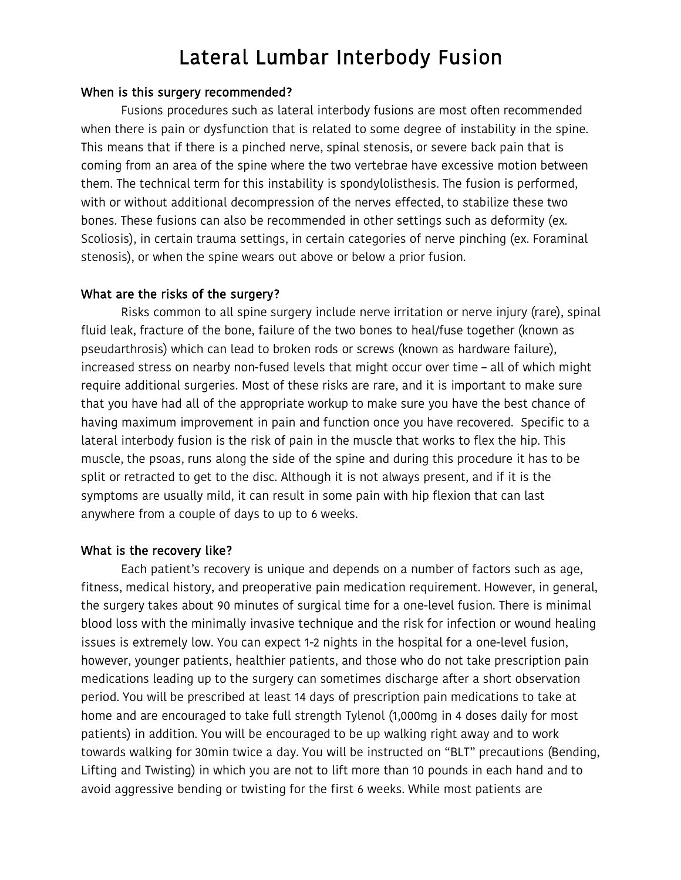## Lateral Lumbar Interbody Fusion

#### When is this surgery recommended?

Fusions procedures such as lateral interbody fusions are most often recommended when there is pain or dysfunction that is related to some degree of instability in the spine. This means that if there is a pinched nerve, spinal stenosis, or severe back pain that is coming from an area of the spine where the two vertebrae have excessive motion between them. The technical term for this instability is spondylolisthesis. The fusion is performed, with or without additional decompression of the nerves effected, to stabilize these two bones. These fusions can also be recommended in other settings such as deformity (ex. Scoliosis), in certain trauma settings, in certain categories of nerve pinching (ex. Foraminal stenosis), or when the spine wears out above or below a prior fusion.

#### What are the risks of the surgery?

Risks common to all spine surgery include nerve irritation or nerve injury (rare), spinal fluid leak, fracture of the bone, failure of the two bones to heal/fuse together (known as pseudarthrosis) which can lead to broken rods or screws (known as hardware failure), increased stress on nearby non-fused levels that might occur over time – all of which might require additional surgeries. Most of these risks are rare, and it is important to make sure that you have had all of the appropriate workup to make sure you have the best chance of having maximum improvement in pain and function once you have recovered. Specific to a lateral interbody fusion is the risk of pain in the muscle that works to flex the hip. This muscle, the psoas, runs along the side of the spine and during this procedure it has to be split or retracted to get to the disc. Although it is not always present, and if it is the symptoms are usually mild, it can result in some pain with hip flexion that can last anywhere from a couple of days to up to 6 weeks.

#### What is the recovery like?

Each patient's recovery is unique and depends on a number of factors such as age, fitness, medical history, and preoperative pain medication requirement. However, in general, the surgery takes about 90 minutes of surgical time for a one-level fusion. There is minimal blood loss with the minimally invasive technique and the risk for infection or wound healing issues is extremely low. You can expect 1-2 nights in the hospital for a one-level fusion, however, younger patients, healthier patients, and those who do not take prescription pain medications leading up to the surgery can sometimes discharge after a short observation period. You will be prescribed at least 14 days of prescription pain medications to take at home and are encouraged to take full strength Tylenol (1,000mg in 4 doses daily for most patients) in addition. You will be encouraged to be up walking right away and to work towards walking for 30min twice a day. You will be instructed on "BLT" precautions (Bending, Lifting and Twisting) in which you are not to lift more than 10 pounds in each hand and to avoid aggressive bending or twisting for the first 6 weeks. While most patients are